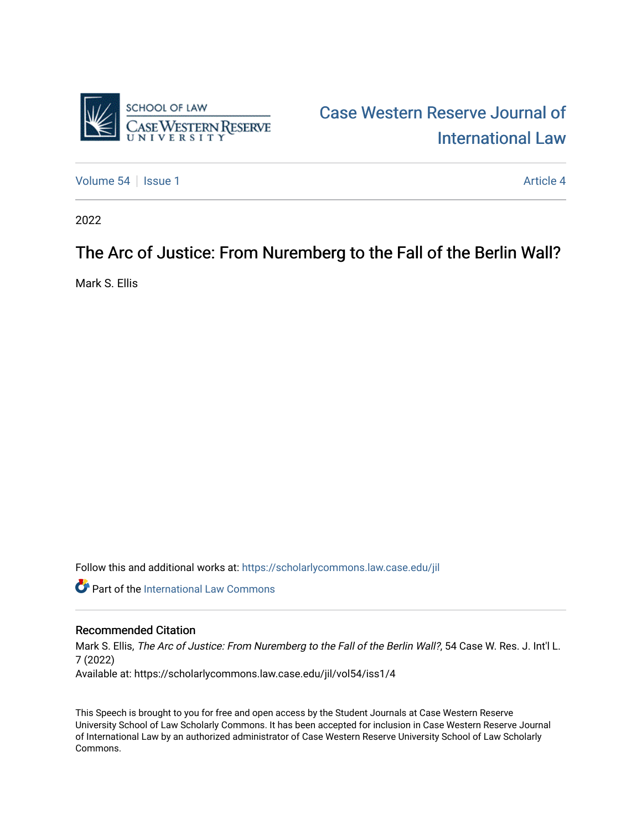

## [Case Western Reserve Journal of](https://scholarlycommons.law.case.edu/jil)  [International Law](https://scholarlycommons.law.case.edu/jil)

[Volume 54](https://scholarlycommons.law.case.edu/jil/vol54) Session 1 [Article 4](https://scholarlycommons.law.case.edu/jil/vol54/iss1/4) Article 4

2022

### The Arc of Justice: From Nuremberg to the Fall of the Berlin Wall?

Mark S. Ellis

Follow this and additional works at: [https://scholarlycommons.law.case.edu/jil](https://scholarlycommons.law.case.edu/jil?utm_source=scholarlycommons.law.case.edu%2Fjil%2Fvol54%2Fiss1%2F4&utm_medium=PDF&utm_campaign=PDFCoverPages) 

**Part of the International Law Commons** 

#### Recommended Citation

Mark S. Ellis, The Arc of Justice: From Nuremberg to the Fall of the Berlin Wall?, 54 Case W. Res. J. Int'l L. 7 (2022) Available at: https://scholarlycommons.law.case.edu/jil/vol54/iss1/4

This Speech is brought to you for free and open access by the Student Journals at Case Western Reserve University School of Law Scholarly Commons. It has been accepted for inclusion in Case Western Reserve Journal of International Law by an authorized administrator of Case Western Reserve University School of Law Scholarly Commons.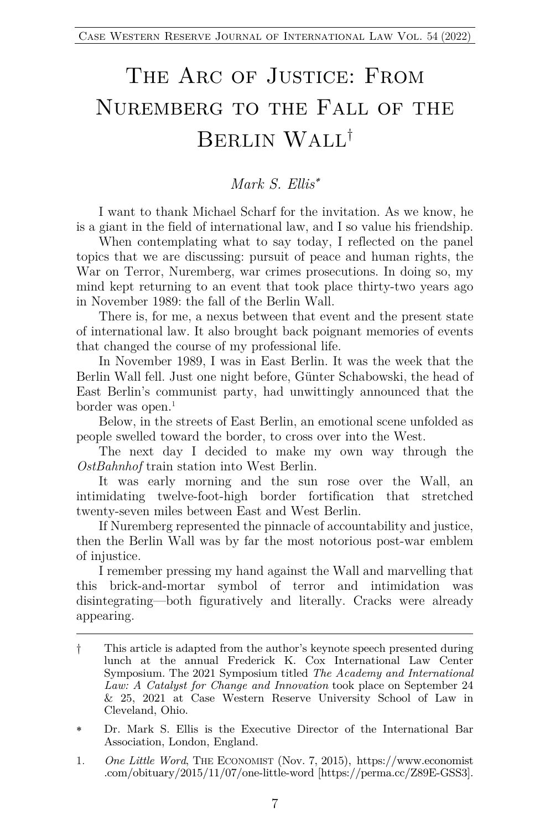# THE ARC OF JUSTICE: FROM Nuremberg to the Fall of THE BERLIN WALL†

#### *Mark S. Ellis*\*

I want to thank Michael Scharf for the invitation. As we know, he is a giant in the field of international law, and I so value his friendship.

When contemplating what to say today, I reflected on the panel topics that we are discussing: pursuit of peace and human rights, the War on Terror, Nuremberg, war crimes prosecutions. In doing so, my mind kept returning to an event that took place thirty-two years ago in November 1989: the fall of the Berlin Wall.

There is, for me, a nexus between that event and the present state of international law. It also brought back poignant memories of events that changed the course of my professional life.

In November 1989, I was in East Berlin. It was the week that the Berlin Wall fell. Just one night before, Günter Schabowski, the head of East Berlin's communist party, had unwittingly announced that the border was open. $<sup>1</sup>$ </sup>

Below, in the streets of East Berlin, an emotional scene unfolded as people swelled toward the border, to cross over into the West.

The next day I decided to make my own way through the *OstBahnhof* train station into West Berlin.

It was early morning and the sun rose over the Wall, an intimidating twelve-foot-high border fortification that stretched twenty-seven miles between East and West Berlin.

If Nuremberg represented the pinnacle of accountability and justice, then the Berlin Wall was by far the most notorious post-war emblem of injustice.

I remember pressing my hand against the Wall and marvelling that this brick-and-mortar symbol of terror and intimidation was disintegrating—both figuratively and literally. Cracks were already appearing.

<sup>†</sup> This article is adapted from the author's keynote speech presented during lunch at the annual Frederick K. Cox International Law Center Symposium. The 2021 Symposium titled *The Academy and International Law: A Catalyst for Change and Innovation* took place on September 24 & 25, 2021 at Case Western Reserve University School of Law in Cleveland, Ohio.

<sup>\*</sup> Dr. Mark S. Ellis is the Executive Director of the International Bar Association, London, England.

<sup>1.</sup> *One Little Word*, THE ECONOMIST (Nov. 7, 2015), https://www.economist .com/obituary/2015/11/07/one-little-word [https://perma.cc/Z89E-GSS3].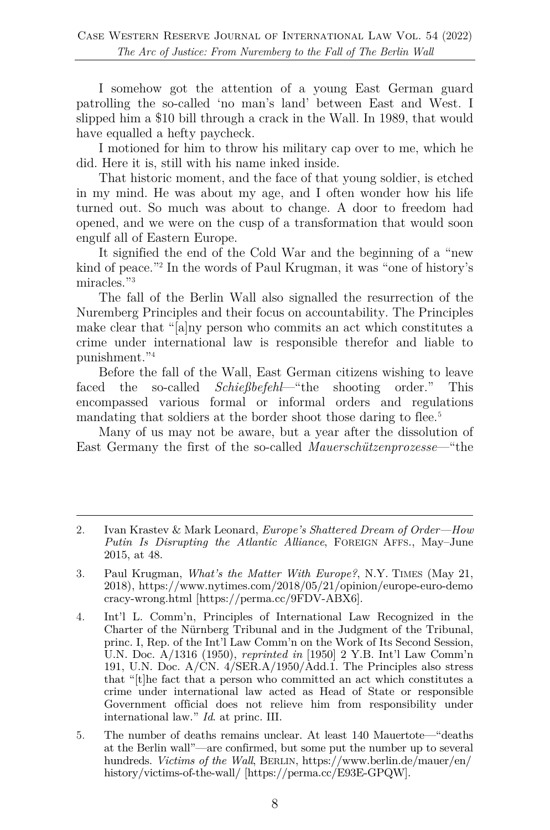I somehow got the attention of a young East German guard patrolling the so-called 'no man's land' between East and West. I slipped him a \$10 bill through a crack in the Wall. In 1989, that would have equalled a hefty paycheck.

I motioned for him to throw his military cap over to me, which he did. Here it is, still with his name inked inside.

That historic moment, and the face of that young soldier, is etched in my mind. He was about my age, and I often wonder how his life turned out. So much was about to change. A door to freedom had opened, and we were on the cusp of a transformation that would soon engulf all of Eastern Europe.

It signified the end of the Cold War and the beginning of a "new kind of peace."2 In the words of Paul Krugman, it was "one of history's miracles."<sup>3</sup>

The fall of the Berlin Wall also signalled the resurrection of the Nuremberg Principles and their focus on accountability. The Principles make clear that "[a]ny person who commits an act which constitutes a crime under international law is responsible therefor and liable to punishment."4

Before the fall of the Wall, East German citizens wishing to leave faced the so-called *Schießbefehl*—"the shooting order." This encompassed various formal or informal orders and regulations mandating that soldiers at the border shoot those daring to flee.<sup>5</sup>

Many of us may not be aware, but a year after the dissolution of East Germany the first of the so-called *Mauerschützenprozesse*—"the

<sup>2.</sup> Ivan Krastev & Mark Leonard, *Europe's Shattered Dream of Order—How Putin Is Disrupting the Atlantic Alliance*, FOREIGN AFFS., May–June 2015, at 48.

<sup>3.</sup> Paul Krugman, *What's the Matter With Europe?*, N.Y. TIMES (May 21, 2018), https://www.nytimes.com/2018/05/21/opinion/europe-euro-demo cracy-wrong.html [https://perma.cc/9FDV-ABX6].

<sup>4.</sup> Int'l L. Comm'n, Principles of International Law Recognized in the Charter of the Nürnberg Tribunal and in the Judgment of the Tribunal, princ. I, Rep. of the Int'l Law Comm'n on the Work of Its Second Session, U.N. Doc. A/1316 (1950), *reprinted in* [1950] 2 Y.B. Int'l Law Comm'n 191, U.N. Doc. A/CN. 4/SER.A/1950/Add.1. The Principles also stress that "[t]he fact that a person who committed an act which constitutes a crime under international law acted as Head of State or responsible Government official does not relieve him from responsibility under international law." *Id*. at princ. III.

<sup>5.</sup> The number of deaths remains unclear. At least 140 Mauertote—"deaths at the Berlin wall"—are confirmed, but some put the number up to several hundreds. *Victims of the Wall*, BERLIN, https://www.berlin.de/mauer/en/ history/victims-of-the-wall/ [https://perma.cc/E93E-GPQW].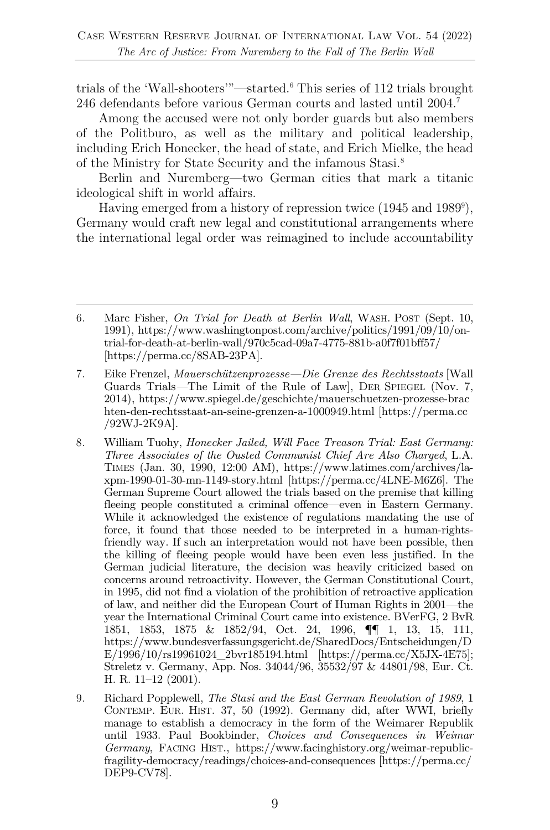trials of the 'Wall-shooters'"—started.6 This series of 112 trials brought 246 defendants before various German courts and lasted until 2004.7

Among the accused were not only border guards but also members of the Politburo, as well as the military and political leadership, including Erich Honecker, the head of state, and Erich Mielke, the head of the Ministry for State Security and the infamous Stasi. 8

Berlin and Nuremberg—two German cities that mark a titanic ideological shift in world affairs.

Having emerged from a history of repression twice (1945 and 1989<sup>9</sup>), Germany would craft new legal and constitutional arrangements where the international legal order was reimagined to include accountability

<sup>6.</sup> Marc Fisher, *On Trial for Death at Berlin Wall*, WASH. POST (Sept. 10, 1991), https://www.washingtonpost.com/archive/politics/1991/09/10/ontrial-for-death-at-berlin-wall/970c5cad-09a7-4775-881b-a0f7f01bff57/ [https://perma.cc/8SAB-23PA].

<sup>7.</sup> Eike Frenzel, *Mauerschützenprozesse—Die Grenze des Rechtsstaats* [Wall Guards Trials*—*The Limit of the Rule of Law], DER SPIEGEL (Nov. 7, 2014), https://www.spiegel.de/geschichte/mauerschuetzen-prozesse-brac hten-den-rechtsstaat-an-seine-grenzen-a-1000949.html [https://perma.cc /92WJ-2K9A].

<sup>8.</sup> William Tuohy, *Honecker Jailed, Will Face Treason Trial: East Germany: Three Associates of the Ousted Communist Chief Are Also Charged*, L.A. TIMES (Jan. 30, 1990, 12:00 AM), https://www.latimes.com/archives/laxpm-1990-01-30-mn-1149-story.html [https://perma.cc/4LNE-M6Z6]. The German Supreme Court allowed the trials based on the premise that killing fleeing people constituted a criminal offence—even in Eastern Germany. While it acknowledged the existence of regulations mandating the use of force, it found that those needed to be interpreted in a human-rightsfriendly way. If such an interpretation would not have been possible, then the killing of fleeing people would have been even less justified. In the German judicial literature, the decision was heavily criticized based on concerns around retroactivity. However, the German Constitutional Court, in 1995, did not find a violation of the prohibition of retroactive application of law, and neither did the European Court of Human Rights in 2001—the year the International Criminal Court came into existence. BVerFG, 2 BvR 1851, 1853, 1875 & 1852/94, Oct. 24, 1996, ¶¶ 1, 13, 15, 111, https://www.bundesverfassungsgericht.de/SharedDocs/Entscheidungen/D  $E/1996/10/rs19961024$  2bvr185194.html [https://perma.cc/X5JX-4E75]; Streletz v. Germany, App. Nos. 34044/96, 35532/97 & 44801/98, Eur. Ct. H. R. 11–12 (2001).

<sup>9.</sup> Richard Popplewell, *The Stasi and the East German Revolution of 1989*, 1 CONTEMP. EUR. HIST. 37, 50 (1992). Germany did, after WWI, briefly manage to establish a democracy in the form of the Weimarer Republik until 1933. Paul Bookbinder, *Choices and Consequences in Weimar Germany*, FACING HIST., https://www.facinghistory.org/weimar-republicfragility-democracy/readings/choices-and-consequences [https://perma.cc/ DEP9-CV78].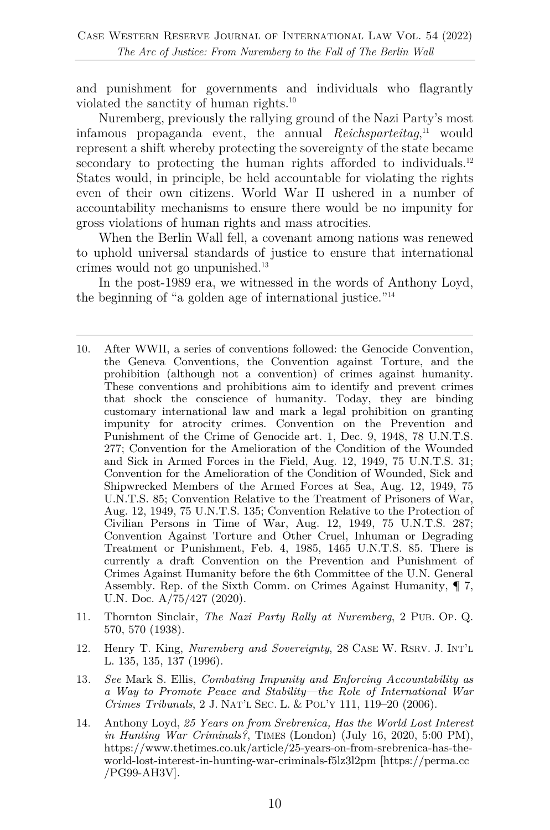and punishment for governments and individuals who flagrantly violated the sanctity of human rights.10

Nuremberg, previously the rallying ground of the Nazi Party's most infamous propaganda event, the annual *Reichsparteitag*, <sup>11</sup> would represent a shift whereby protecting the sovereignty of the state became secondary to protecting the human rights afforded to individuals.<sup>12</sup> States would, in principle, be held accountable for violating the rights even of their own citizens. World War II ushered in a number of accountability mechanisms to ensure there would be no impunity for gross violations of human rights and mass atrocities.

When the Berlin Wall fell, a covenant among nations was renewed to uphold universal standards of justice to ensure that international crimes would not go unpunished.13

In the post-1989 era, we witnessed in the words of Anthony Loyd, the beginning of "a golden age of international justice."14

- 11. Thornton Sinclair, *The Nazi Party Rally at Nuremberg*, 2 PUB. OP. Q. 570, 570 (1938).
- 12. Henry T. King, *Nuremberg and Sovereignty*, 28 CASE W. RSRV. J. INT'L L. 135, 135, 137 (1996).
- 13*. See* Mark S. Ellis, *Combating Impunity and Enforcing Accountability as a Way to Promote Peace and Stability—the Role of International War Crimes Tribunals*, 2 J. NAT'L SEC. L. & POL'Y 111, 119–20 (2006).
- 14. Anthony Loyd, *25 Years on from Srebrenica, Has the World Lost Interest in Hunting War Criminals?*, TIMES (London) (July 16, 2020, 5:00 PM), https://www.thetimes.co.uk/article/25-years-on-from-srebrenica-has-theworld-lost-interest-in-hunting-war-criminals-f5lz3l2pm [https://perma.cc /PG99-AH3V].

<sup>10.</sup> After WWII, a series of conventions followed: the Genocide Convention, the Geneva Conventions, the Convention against Torture, and the prohibition (although not a convention) of crimes against humanity. These conventions and prohibitions aim to identify and prevent crimes that shock the conscience of humanity. Today, they are binding customary international law and mark a legal prohibition on granting impunity for atrocity crimes. Convention on the Prevention and Punishment of the Crime of Genocide art. 1, Dec. 9, 1948, 78 U.N.T.S. 277; Convention for the Amelioration of the Condition of the Wounded and Sick in Armed Forces in the Field, Aug. 12, 1949, 75 U.N.T.S. 31; Convention for the Amelioration of the Condition of Wounded, Sick and Shipwrecked Members of the Armed Forces at Sea, Aug. 12, 1949, 75 U.N.T.S. 85; Convention Relative to the Treatment of Prisoners of War, Aug. 12, 1949, 75 U.N.T.S. 135; Convention Relative to the Protection of Civilian Persons in Time of War, Aug. 12, 1949, 75 U.N.T.S. 287; Convention Against Torture and Other Cruel, Inhuman or Degrading Treatment or Punishment, Feb. 4, 1985, 1465 U.N.T.S. 85. There is currently a draft Convention on the Prevention and Punishment of Crimes Against Humanity before the 6th Committee of the U.N. General Assembly. Rep. of the Sixth Comm. on Crimes Against Humanity, ¶ 7, U.N. Doc. A/75/427 (2020).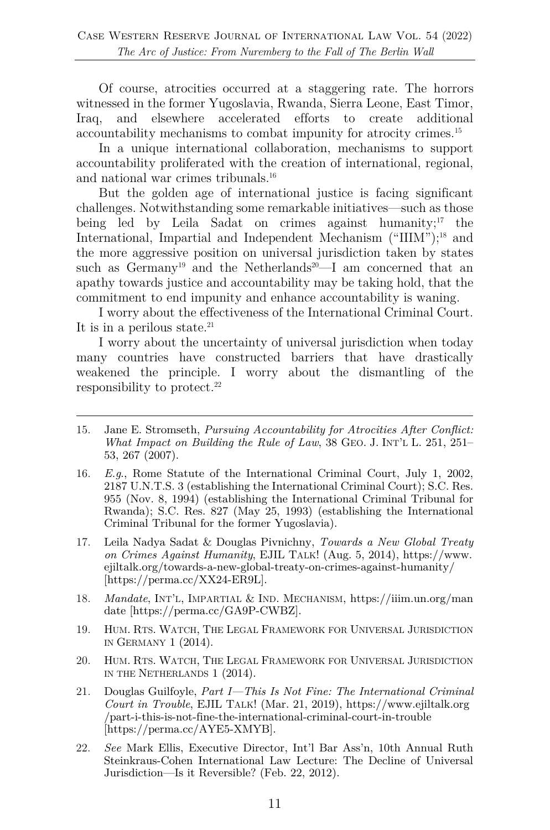Of course, atrocities occurred at a staggering rate. The horrors witnessed in the former Yugoslavia, Rwanda, Sierra Leone, East Timor, Iraq, and elsewhere accelerated efforts to create additional accountability mechanisms to combat impunity for atrocity crimes.15

In a unique international collaboration, mechanisms to support accountability proliferated with the creation of international, regional, and national war crimes tribunals.16

But the golden age of international justice is facing significant challenges. Notwithstanding some remarkable initiatives—such as those being led by Leila Sadat on crimes against humanity; $17$  the International, Impartial and Independent Mechanism ("IIIM");<sup>18</sup> and the more aggressive position on universal jurisdiction taken by states such as  $Germanv^{19}$  and the Netherlands<sup>20</sup>—I am concerned that an apathy towards justice and accountability may be taking hold, that the commitment to end impunity and enhance accountability is waning.

I worry about the effectiveness of the International Criminal Court. It is in a perilous state. $21$ 

I worry about the uncertainty of universal jurisdiction when today many countries have constructed barriers that have drastically weakened the principle. I worry about the dismantling of the responsibility to protect. $22$ 

- 15. Jane E. Stromseth, *Pursuing Accountability for Atrocities After Conflict: What Impact on Building the Rule of Law*, 38 GEO. J. INT'L L. 251, 251– 53, 267 (2007).
- 16. *E.g*., Rome Statute of the International Criminal Court, July 1, 2002, 2187 U.N.T.S. 3 (establishing the International Criminal Court); S.C. Res. 955 (Nov. 8, 1994) (establishing the International Criminal Tribunal for Rwanda); S.C. Res. 827 (May 25, 1993) (establishing the International Criminal Tribunal for the former Yugoslavia).
- 17. Leila Nadya Sadat & Douglas Pivnichny, *Towards a New Global Treaty on Crimes Against Humanity*, EJIL TALK! (Aug. 5, 2014), https://www. ejiltalk.org/towards-a-new-global-treaty-on-crimes-against-humanity/ [https://perma.cc/XX24-ER9L].
- 18. *Mandate*, INT'L, IMPARTIAL & IND. MECHANISM, https://iiim.un.org/man date [https://perma.cc/GA9P-CWBZ].
- 19. HUM. RTS. WATCH, THE LEGAL FRAMEWORK FOR UNIVERSAL JURISDICTION IN GERMANY 1 (2014).
- 20. HUM. RTS. WATCH, THE LEGAL FRAMEWORK FOR UNIVERSAL JURISDICTION IN THE NETHERLANDS 1 (2014).
- 21. Douglas Guilfoyle, *Part I—This Is Not Fine: The International Criminal Court in Trouble*, EJIL TALK! (Mar. 21, 2019), https://www.ejiltalk.org /part-i-this-is-not-fine-the-international-criminal-court-in-trouble [https://perma.cc/AYE5-XMYB].
- 22. *See* Mark Ellis, Executive Director, Int'l Bar Ass'n, 10th Annual Ruth Steinkraus-Cohen International Law Lecture: The Decline of Universal Jurisdiction—Is it Reversible? (Feb. 22, 2012).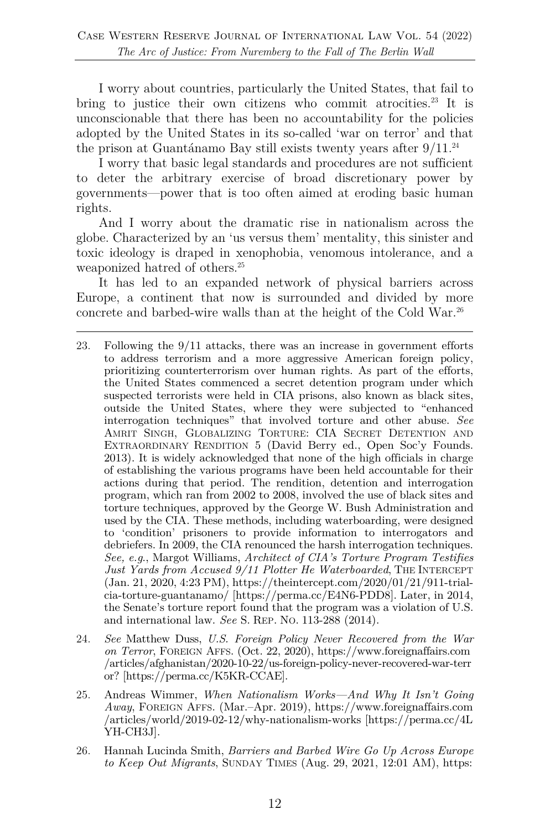I worry about countries, particularly the United States, that fail to bring to justice their own citizens who commit atrocities.<sup>23</sup> It is unconscionable that there has been no accountability for the policies adopted by the United States in its so-called 'war on terror' and that the prison at Guantánamo Bay still exists twenty years after  $9/11.^{24}$ 

I worry that basic legal standards and procedures are not sufficient to deter the arbitrary exercise of broad discretionary power by governments—power that is too often aimed at eroding basic human rights.

And I worry about the dramatic rise in nationalism across the globe. Characterized by an 'us versus them' mentality, this sinister and toxic ideology is draped in xenophobia, venomous intolerance, and a weaponized hatred of others.<sup>25</sup>

It has led to an expanded network of physical barriers across Europe, a continent that now is surrounded and divided by more concrete and barbed-wire walls than at the height of the Cold War.<sup>26</sup>

- 24. *See* Matthew Duss, *U.S. Foreign Policy Never Recovered from the War on Terror*, FOREIGN AFFS. (Oct. 22, 2020), https://www.foreignaffairs.com /articles/afghanistan/2020-10-22/us-foreign-policy-never-recovered-war-terr or? [https://perma.cc/K5KR-CCAE].
- 25. Andreas Wimmer, *When Nationalism Works—And Why It Isn't Going Away*, FOREIGN AFFS. (Mar.–Apr. 2019), https://www.foreignaffairs.com /articles/world/2019-02-12/why-nationalism-works [https://perma.cc/4L YH-CH3J].
- 26. Hannah Lucinda Smith, *Barriers and Barbed Wire Go Up Across Europe to Keep Out Migrants*, SUNDAY TIMES (Aug. 29, 2021, 12:01 AM), https:

<sup>23.</sup> Following the 9/11 attacks, there was an increase in government efforts to address terrorism and a more aggressive American foreign policy, prioritizing counterterrorism over human rights. As part of the efforts, the United States commenced a secret detention program under which suspected terrorists were held in CIA prisons, also known as black sites, outside the United States, where they were subjected to "enhanced interrogation techniques" that involved torture and other abuse. *See* AMRIT SINGH, GLOBALIZING TORTURE: CIA SECRET DETENTION AND EXTRAORDINARY RENDITION 5 (David Berry ed., Open Soc'y Founds. 2013). It is widely acknowledged that none of the high officials in charge of establishing the various programs have been held accountable for their actions during that period. The rendition, detention and interrogation program, which ran from 2002 to 2008, involved the use of black sites and torture techniques, approved by the George W. Bush Administration and used by the CIA. These methods, including waterboarding, were designed to 'condition' prisoners to provide information to interrogators and debriefers. In 2009, the CIA renounced the harsh interrogation techniques. *See, e.g*., Margot Williams, *Architect of CIA's Torture Program Testifies*  Just Yards from Accused 9/11 Plotter He Waterboarded, THE INTERCEPT (Jan. 21, 2020, 4:23 PM), https://theintercept.com/2020/01/21/911-trialcia-torture-guantanamo/ [https://perma.cc/E4N6-PDD8]. Later, in 2014, the Senate's torture report found that the program was a violation of U.S. and international law. *See* S. REP. NO. 113-288 (2014).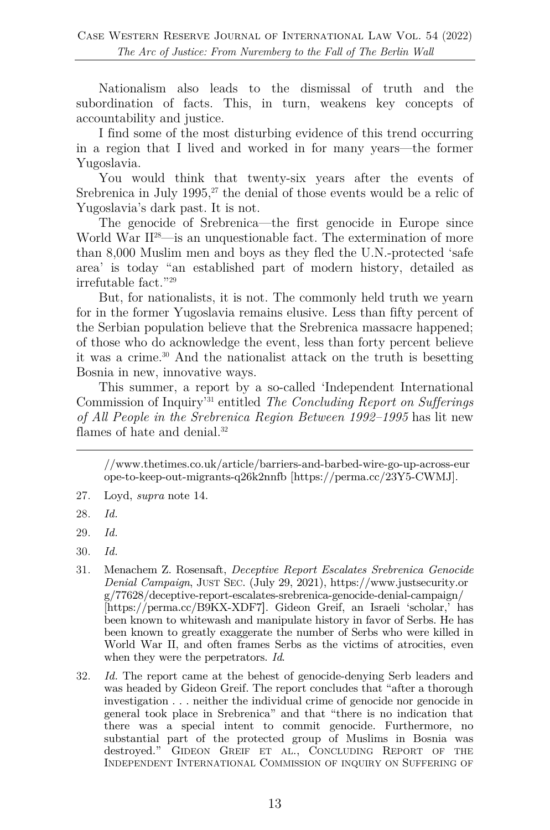Nationalism also leads to the dismissal of truth and the subordination of facts. This, in turn, weakens key concepts of accountability and justice.

I find some of the most disturbing evidence of this trend occurring in a region that I lived and worked in for many years—the former Yugoslavia.

You would think that twenty-six years after the events of Srebrenica in July 1995, $^{27}$  the denial of those events would be a relic of Yugoslavia's dark past. It is not.

The genocide of Srebrenica—the first genocide in Europe since World War II<sup>28</sup>—is an unquestionable fact. The extermination of more than 8,000 Muslim men and boys as they fled the U.N.-protected 'safe area' is today "an established part of modern history, detailed as irrefutable fact."29

But, for nationalists, it is not. The commonly held truth we yearn for in the former Yugoslavia remains elusive. Less than fifty percent of the Serbian population believe that the Srebrenica massacre happened; of those who do acknowledge the event, less than forty percent believe it was a crime.30 And the nationalist attack on the truth is besetting Bosnia in new, innovative ways.

This summer, a report by a so-called 'Independent International Commission of Inquiry'31 entitled *The Concluding Report on Sufferings of All People in the Srebrenica Region Between 1992–1995* has lit new flames of hate and denial.<sup>32</sup>

//www.thetimes.co.uk/article/barriers-and-barbed-wire-go-up-across-eur ope-to-keep-out-migrants-q26k2nnfb [https://perma.cc/23Y5-CWMJ].

- 30. *Id.*
- 31. Menachem Z. Rosensaft, *Deceptive Report Escalates Srebrenica Genocide Denial Campaign*, JUST SEC. (July 29, 2021), https://www.justsecurity.or g/77628/deceptive-report-escalates-srebrenica-genocide-denial-campaign/ [https://perma.cc/B9KX-XDF7**]**. Gideon Greif, an Israeli 'scholar,' has been known to whitewash and manipulate history in favor of Serbs. He has been known to greatly exaggerate the number of Serbs who were killed in World War II, and often frames Serbs as the victims of atrocities, even when they were the perpetrators. *Id*.
- 32. *Id.* The report came at the behest of genocide-denying Serb leaders and was headed by Gideon Greif. The report concludes that "after a thorough investigation . . . neither the individual crime of genocide nor genocide in general took place in Srebrenica" and that "there is no indication that there was a special intent to commit genocide. Furthermore, no substantial part of the protected group of Muslims in Bosnia was destroyed." GIDEON GREIF ET AL., CONCLUDING REPORT OF THE INDEPENDENT INTERNATIONAL COMMISSION OF INQUIRY ON SUFFERING OF

<sup>27.</sup> Loyd, *supra* note 14.

<sup>28.</sup> *Id.*

<sup>29.</sup> *Id.*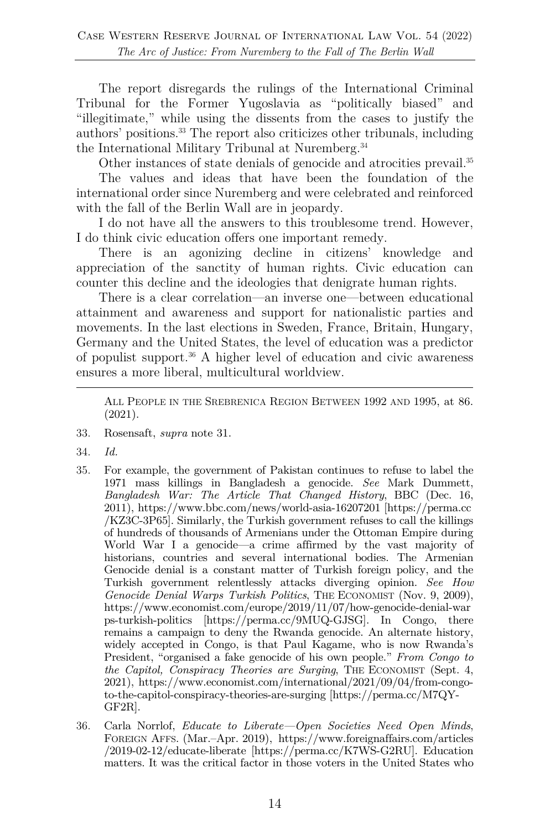The report disregards the rulings of the International Criminal Tribunal for the Former Yugoslavia as "politically biased" and "illegitimate," while using the dissents from the cases to justify the authors' positions.33 The report also criticizes other tribunals, including the International Military Tribunal at Nuremberg.<sup>34</sup>

Other instances of state denials of genocide and atrocities prevail.<sup>35</sup>

The values and ideas that have been the foundation of the international order since Nuremberg and were celebrated and reinforced with the fall of the Berlin Wall are in jeopardy.

I do not have all the answers to this troublesome trend. However, I do think civic education offers one important remedy.

There is an agonizing decline in citizens' knowledge and appreciation of the sanctity of human rights. Civic education can counter this decline and the ideologies that denigrate human rights.

There is a clear correlation—an inverse one—between educational attainment and awareness and support for nationalistic parties and movements. In the last elections in Sweden, France, Britain, Hungary, Germany and the United States, the level of education was a predictor of populist support.36 A higher level of education and civic awareness ensures a more liberal, multicultural worldview.

ALL PEOPLE IN THE SREBRENICA REGION BETWEEN 1992 AND 1995, at 86. (2021).

- 33. Rosensaft, *supra* note 31.
- 34. *Id.*
- 35. For example, the government of Pakistan continues to refuse to label the 1971 mass killings in Bangladesh a genocide. *See* Mark Dummett, *Bangladesh War: The Article That Changed History*, BBC (Dec. 16, 2011), https://www.bbc.com/news/world-asia-16207201 [https://perma.cc /KZ3C-3P65]. Similarly, the Turkish government refuses to call the killings of hundreds of thousands of Armenians under the Ottoman Empire during World War I a genocide—a crime affirmed by the vast majority of historians, countries and several international bodies. The Armenian Genocide denial is a constant matter of Turkish foreign policy, and the Turkish government relentlessly attacks diverging opinion. *See How Genocide Denial Warps Turkish Politics*, THE ECONOMIST (Nov. 9, 2009), https://www.economist.com/europe/2019/11/07/how-genocide-denial-war ps-turkish-politics [https://perma.cc/9MUQ-GJSG]. In Congo, there remains a campaign to deny the Rwanda genocide. An alternate history, widely accepted in Congo, is that Paul Kagame, who is now Rwanda's President, "organised a fake genocide of his own people." *From Congo to the Capitol, Conspiracy Theories are Surging*, THE ECONOMIST (Sept. 4, 2021), https://www.economist.com/international/2021/09/04/from-congoto-the-capitol-conspiracy-theories-are-surging [https://perma.cc/M7QY-GF2R].
- 36. Carla Norrlof, *Educate to Liberate—Open Societies Need Open Minds*, FOREIGN AFFS. (Mar.–Apr. 2019), https://www.foreignaffairs.com/articles /2019-02-12/educate-liberate [https://perma.cc/K7WS-G2RU]. Education matters. It was the critical factor in those voters in the United States who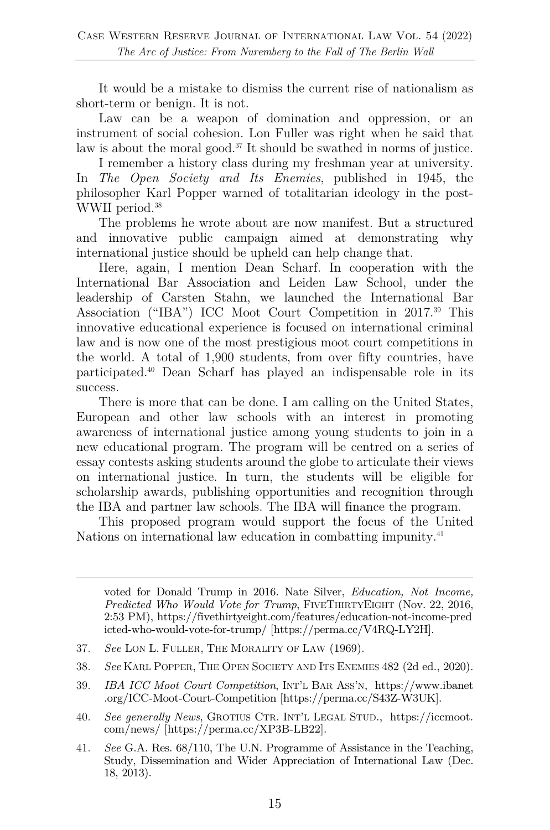It would be a mistake to dismiss the current rise of nationalism as short-term or benign. It is not.

Law can be a weapon of domination and oppression, or an instrument of social cohesion. Lon Fuller was right when he said that law is about the moral good.37 It should be swathed in norms of justice.

I remember a history class during my freshman year at university. In *The Open Society and Its Enemies*, published in 1945, the philosopher Karl Popper warned of totalitarian ideology in the post-WWII period.<sup>38</sup>

The problems he wrote about are now manifest. But a structured and innovative public campaign aimed at demonstrating why international justice should be upheld can help change that.

Here, again, I mention Dean Scharf. In cooperation with the International Bar Association and Leiden Law School, under the leadership of Carsten Stahn, we launched the International Bar Association ("IBA") ICC Moot Court Competition in 2017.39 This innovative educational experience is focused on international criminal law and is now one of the most prestigious moot court competitions in the world. A total of 1,900 students, from over fifty countries, have participated.40 Dean Scharf has played an indispensable role in its success.

There is more that can be done. I am calling on the United States, European and other law schools with an interest in promoting awareness of international justice among young students to join in a new educational program. The program will be centred on a series of essay contests asking students around the globe to articulate their views on international justice. In turn, the students will be eligible for scholarship awards, publishing opportunities and recognition through the IBA and partner law schools. The IBA will finance the program.

This proposed program would support the focus of the United Nations on international law education in combatting impunity.<sup>41</sup>

voted for Donald Trump in 2016. Nate Silver, *Education, Not Income, Predicted Who Would Vote for Trump*, FIVETHIRTYEIGHT (Nov. 22, 2016, 2:53 PM), https://fivethirtyeight.com/features/education-not-income-pred icted-who-would-vote-for-trump/ [https://perma.cc/V4RQ-LY2H].

- 37. *See* LON L. FULLER, THE MORALITY OF LAW (1969).
- 38. *See* KARL POPPER, THE OPEN SOCIETY AND ITS ENEMIES 482 (2d ed., 2020).
- 39. *IBA ICC Moot Court Competition*, INT'L BAR ASS'N, https://www.ibanet .org/ICC-Moot-Court-Competition [https://perma.cc/S43Z-W3UK].
- 40. *See generally News*, GROTIUS CTR. INT'L LEGAL STUD., https://iccmoot. com/news/ [https://perma.cc/XP3B-LB22].

41. *See* G.A. Res. 68/110, The U.N. Programme of Assistance in the Teaching, Study, Dissemination and Wider Appreciation of International Law (Dec. 18, 2013).